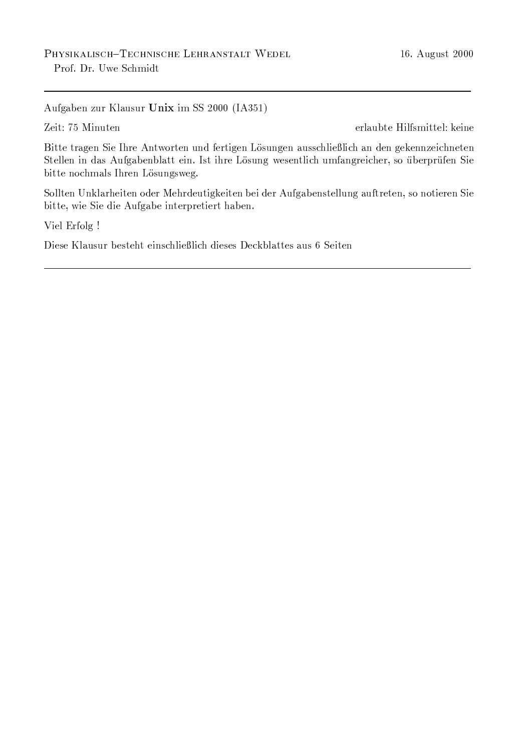Aufgaben zur Klausur Unix im SS 2000 (IA351)

Zeit: 75 Minuten

erlaubte Hilfsmittel: keine

Bitte tragen Sie Ihre Antworten und fertigen Lösungen ausschließlich an den gekennzeichneten Stellen in das Aufgabenblatt ein. Ist ihre Lösung wesentlich umfangreicher, so überprüfen Sie bitte nochmals Ihren Lösungsweg.

Sollten Unklarheiten oder Mehrdeutigkeiten bei der Aufgabenstellung auftreten, so notieren Sie bitte, wie Sie die Aufgabe interpretiert haben.

Viel Erfolg !

Diese Klausur besteht einschließlich dieses Deckblattes aus 6 Seiten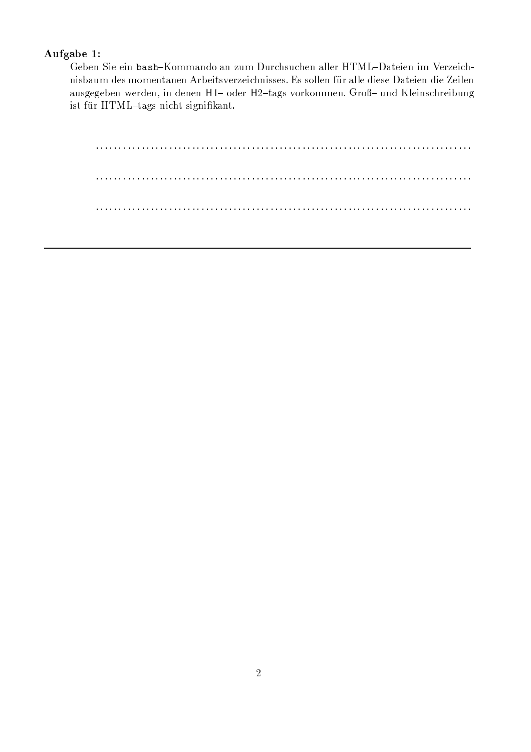# Aufgabe 1:

Geben Sie ein bash-Kommando an zum Durchsuchen aller HTML-Dateien im Verzeichnisbaum des momentanen Arbeitsverzeichnisses. Es sollen für alle diese Dateien die Zeilen ausgegeben werden, in denen H1- oder H2-tags vorkommen. Groß- und Kleinschreibung ist für HTML-tags nicht signifikant.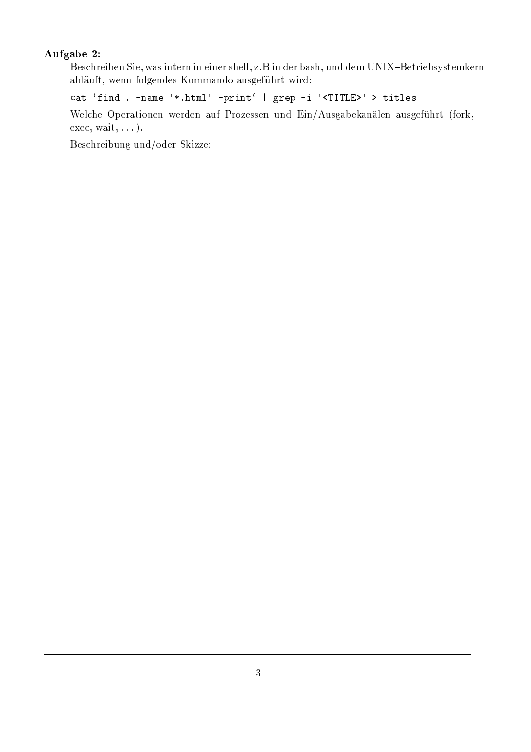### Aufgabe 2:

Beschreiben Sie, was intern in einer shell, z.B in der bash, und dem UNIX-Betriebsystemkern abläuft, wenn folgendes Kommando ausgeführt wird:

cat 'find . - name '\*.html' - print' | grep -i '<TITLE>' > titles

Welche Operationen werden auf Prozessen und Ein/Ausgabekanälen ausgeführt (fork,  $exec, wait, ...).$ 

Beschreibung und/oder Skizze: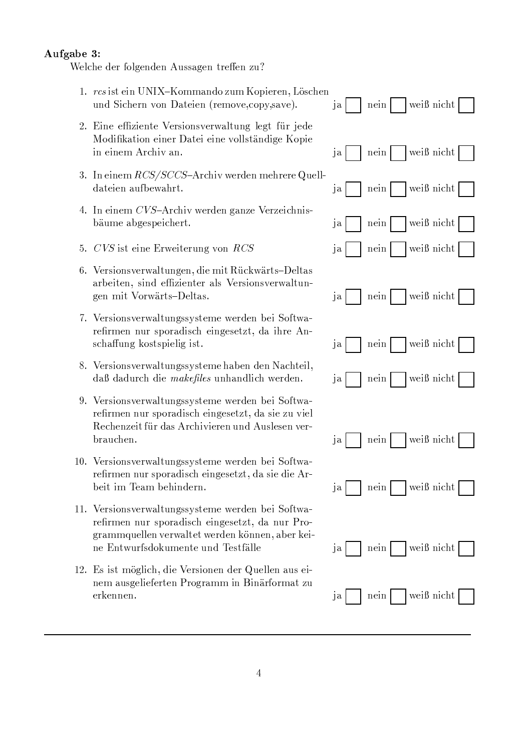#### Aufgabe 3:

Welche der folgenden Aussagen treffen zu?

- 1. rcs ist ein UNIX-Kommando zum Kopieren, Löschen und Sichern von Dateien (remove.copy.save).
- 2. Eine effiziente Versionsverwaltung legt für jede Modifikation einer Datei eine vollständige Kopie in einem Archiv an.
- 3. In einem RCS/SCCS-Archiv werden mehrere Quelldateien aufbewahrt.
- 4. In einem CVS-Archiv werden ganze Verzeichnisbäume abgespeichert.
- 5. CVS ist eine Erweiterung von RCS
- 6. Versionsverwaltungen, die mit Rückwärts-Deltas arbeiten, sind effizienter als Versionsverwaltungen mit Vorwärts-Deltas.
- 7. Versionsverwaltungssysteme werden bei Softwarefirmen nur sporadisch eingesetzt, da ihre Anschaffung kostspielig ist.
- 8. Versionsverwaltungssysteme haben den Nachteil, daß dadurch die makefiles unhandlich werden.
- 9. Versionsverwaltungssysteme werden bei Softwarefirmen nur sporadisch eingesetzt, da sie zu viel Rechenzeit für das Archivieren und Auslesen ver**brauchen**
- 10. Versionsverwaltungssysteme werden bei Softwarefirmen nur sporadisch eingesetzt, da sie die Arbeit im Team behindern.
- 11. Versionsverwaltungssysteme werden bei Softwarefirmen nur sporadisch eingesetzt, da nur Programmquellen verwaltet werden können, aber keine Entwurfsdokumente und Testfälle
- 12. Es ist möglich, die Versionen der Quellen aus einem ausgelieferten Programm in Binärformat zu erkennen.

|                      |       |      |  | $j$ a   nein   weiß nicht   |  |
|----------------------|-------|------|--|-----------------------------|--|
|                      |       |      |  | ja   nein   weiß nicht      |  |
|                      |       |      |  | ja   nein     weiß nicht    |  |
|                      |       |      |  | ja   nein   weiß nicht      |  |
|                      |       |      |  | ja   nein   weiß nicht      |  |
|                      |       |      |  | $j$ a   nein     weiß nicht |  |
|                      |       |      |  | ja   nein   weiß nicht      |  |
| $ja \nightharpoonup$ |       |      |  | nein   weiß nicht           |  |
|                      |       |      |  |                             |  |
|                      | $j$ a |      |  | nein     weiß nicht         |  |
| ja                   |       | nein |  | $\vert$ weiß nicht $\vert$  |  |
|                      |       |      |  |                             |  |
| ja                   |       | nein |  | weiß nicht                  |  |
| ja                   |       | nein |  | weiß nicht                  |  |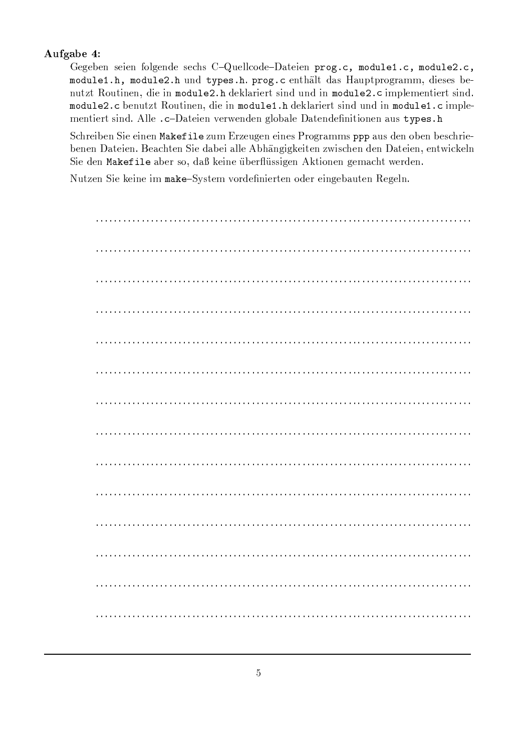# Aufgabe 4:

Gegeben seien folgende sechs C-Quellcode-Dateien prog.c, module1.c, module2.c, module1.h, module2.h und types.h. prog.c enthält das Hauptprogramm, dieses benutzt Routinen, die in module2.h deklariert sind und in module2.c implementiert sind. module2.c benutzt Routinen, die in module1.h deklariert sind und in module1.c implementiert sind. Alle .c-Dateien verwenden globale Datendefinitionen aus types.h

Schreiben Sie einen Makefile zum Erzeugen eines Programms ppp aus den oben beschriebenen Dateien. Beachten Sie dabei alle Abhängigkeiten zwischen den Dateien, entwickeln Sie den Makefile aber so, daß keine überflüssigen Aktionen gemacht werden.

Nutzen Sie keine im make-System vordefinierten oder eingebauten Regeln.